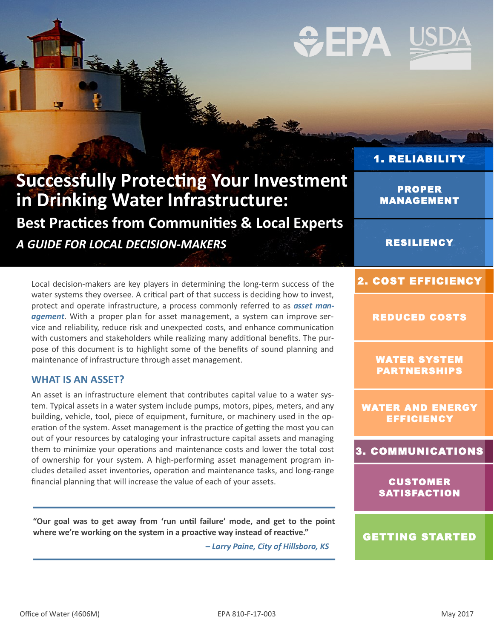### **Successfully Protecting Your Investment in Drinking Water Infrastructure:**

**Best Practices from Communities & Local Experts** *A GUIDE FOR LOCAL DECISION-MAKERS*

Local decision-makers are key players in determining the long-term success of the water systems they oversee. A critical part of that success is deciding how to invest, protect and operate infrastructure, a process commonly referred to as *asset management*. With a proper plan for asset management, a system can improve service and reliability, reduce risk and unexpected costs, and enhance communication with customers and stakeholders while realizing many additional benefits. The purpose of this document is to highlight some of the benefits of sound planning and maintenance of infrastructure through asset management.

#### **WHAT IS AN ASSET?**

An asset is an infrastructure element that contributes capital value to a water system. Typical assets in a water system include pumps, motors, pipes, meters, and any building, vehicle, tool, piece of equipment, furniture, or machinery used in the operation of the system. Asset management is the practice of getting the most you can out of your resources by cataloging your infrastructure capital assets and managing them to minimize your operations and maintenance costs and lower the total cost of ownership for your system. A high-performing asset management program includes detailed asset inventories, operation and maintenance tasks, and long-range financial planning that will increase the value of each of your assets.

**"Our goal was to get away from 'run until failure' mode, and get to the point where we're working on the system in a proactive way instead of reactive."** 

*– Larry Paine, City of Hillsboro, KS*

# [1. RELIABILITY](#page-2-0)

PROPER [MANAGEMENT](#page-2-0) 

#### [RESILIENCY](#page-4-0)

#### [2. COST EFFICIENCY](#page-5-0)

[REDUCED COSTS](#page-5-0) 

[WATER SYSTEM](#page-6-0)  PARTNERSHIPS

[WATER AND ENERGY](#page-7-0)  **EFFICIENCY** 

#### [3. COMMUNICATIONS](#page-8-0)

CUSTOMER **SATISFACTION** 

#### [GETTING STARTED](#page-9-0)

# $\div$ EPA

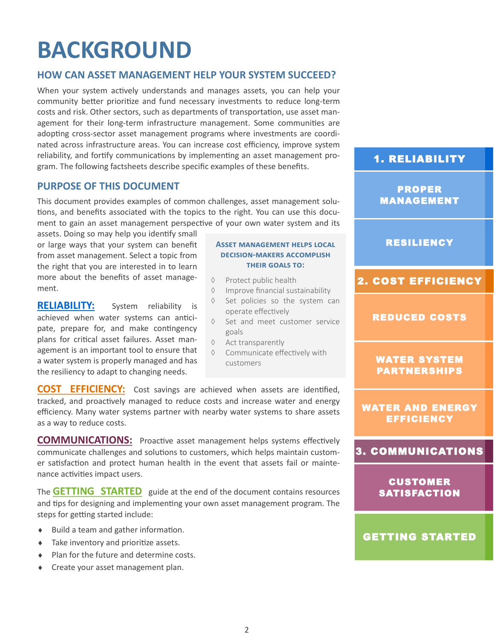### **BACKGROUND**

#### **HOW CAN ASSET MANAGEMENT HELP YOUR SYSTEM SUCCEED?**

When your system actively understands and manages assets, you can help your community better prioritize and fund necessary investments to reduce long-term costs and risk. Other sectors, such as departments of transportation, use asset management for their long-term infrastructure management. Some communities are adopting cross-sector asset management programs where investments are coordinated across infrastructure areas. You can increase cost efficiency, improve system reliability, and fortify communications by implementing an asset management program. The following factsheets describe specific examples of these benefits.

#### **PURPOSE OF THIS DOCUMENT**

This document provides examples of common challenges, asset management solutions, and benefits associated with the topics to the right. You can use this document to gain an asset management perspective of your own water system and its

assets. Doing so may help you identify small or large ways that your system can benefit from asset management. Select a topic from the right that you are interested in to learn more about the benefits of asset management.

**[RELIABILITY:](#page-2-0)** System reliability is achieved when water systems can anticipate, prepare for, and make contingency plans for critical asset failures. Asset management is an important tool to ensure that a water system is properly managed and has the resiliency to adapt to changing needs.

#### **Asset management helps local decision-makers accomplish their goals to:**

- $\Diamond$  Protect public health
- $\Diamond$  Improve financial sustainability
- $\Diamond$  Set policies so the system can operate effectively
- $\Diamond$  Set and meet customer service goals
- $\Diamond$  Act transparently
- ♦ Communicate effectively with customers

**[COST EFFICIENCY:](#page-5-0)** Cost savings are achieved when assets are identified, tracked, and proactively managed to reduce costs and increase water and energy efficiency. Many water systems partner with nearby water systems to share assets as a way to reduce costs.

**[COMMUNICATIONS:](#page-8-0)** Proactive asset management helps systems effectively communicate challenges and solutions to customers, which helps maintain customer satisfaction and protect human health in the event that assets fail or maintenance activities impact users.

The **[GETTING STARTED](#page-9-0)** guide at the end of the document contains resources and tips for designing and implementing your own asset management program. The steps for getting started include:

- Build a team and gather information.
- $\bullet$  Take inventory and prioritize assets.
- ◆ Plan for the future and determine costs.
- **+** Create your asset management plan.

#### [1. RELIABILITY](#page-2-0)

PROPER [MANAGEMENT](#page-2-0) 

#### [RESILIENCY](#page-4-0)

#### [2. COST EFFICIENCY](#page-5-0)

[REDUCED COSTS](#page-5-0) 

#### [WATER SYSTEM](#page-6-0)  PARTNERSHIPS

[WATER AND ENERGY](#page-7-0)  **EFFICIENCY** 

#### [3. COMMUNICATIONS](#page-8-0)

CUSTOMER **SATISFACTION** 

#### [GETTING STARTED](#page-9-0)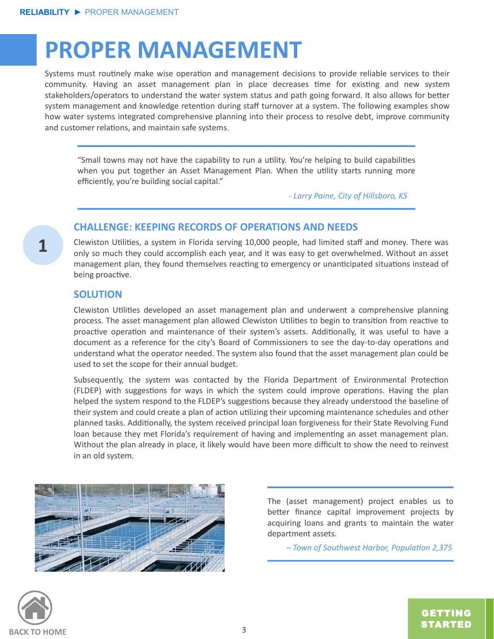### <span id="page-2-0"></span>**PROPER MANAGEMENT**

Systems must routinely make wise operation and management decisions to provide reliable services to their community. Having an asset management plan in place decreases time for existing and new system stakeholders/operators to understand the water system status and path going forward. It also allows for better system management and knowledge retention during staff turnover at a system. The following examples show how water systems integrated comprehensive planning into their process to resolve debt, improve community and customer relations, and maintain safe systems.

"Small towns may not have the capability to run a utility. You're helping to build capabilities when you put together an Asset Management Plan. When the utility starts running more efficiently, you're building social capital."

*- Larry Paine, City of Hillsboro, KS*

#### **CHALLENGE: KEEPING RECORDS OF OPERATIONS AND NEEDS**

Clewiston Utilities, a system in Florida serving 10,000 people, had limited staff and money. There was only so much they could accomplish each year, and it was easy to get overwhelmed. Without an asset management plan, they found themselves reacting to emergency or unanticipated situations instead of being proactive.

#### **SOLUTION**

**1**

Clewiston Utilities developed an asset management plan and underwent a comprehensive planning process. The asset management plan allowed Clewiston Utilities to begin to transition from reactive to proactive operation and maintenance of their system's assets. Additionally, it was useful to have a document as a reference for the city's Board of Commissioners to see the day-to-day operations and understand what the operator needed. The system also found that the asset management plan could be used to set the scope for their annual budget.

Subsequently, the system was contacted by the Florida Department of Environmental Protection (FLDEP) with suggestions for ways in which the system could improve operations. Having the plan helped the system respond to the FLDEP's suggestions because they already understood the baseline of their system and could create a plan of action utilizing their upcoming maintenance schedules and other planned tasks. Additionally, the system received principal loan forgiveness for their State Revolving Fund loan because they met Florida's requirement of having and implementing an asset management plan. Without the plan already in place, it likely would have been more difficult to show the need to reinvest in an old system.



The (asset management) project enables us to better finance capital improvement projects by acquiring loans and grants to maintain the water department assets.

*– Town of Southwest Harbor, Population 2,375*



GETTING [STARTED](#page-9-0)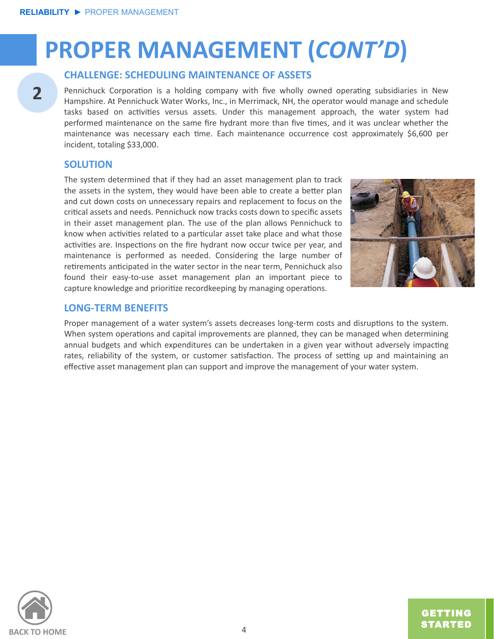# **PROPER MANAGEMENT (***CONT'D***)**

#### **CHALLENGE: SCHEDULING MAINTENANCE OF ASSETS**

Pennichuck Corporation is a holding company with five wholly owned operating subsidiaries in New Hampshire. At Pennichuck Water Works, Inc., in Merrimack, NH, the operator would manage and schedule tasks based on activities versus assets. Under this management approach, the water system had performed maintenance on the same fire hydrant more than five times, and it was unclear whether the maintenance was necessary each time. Each maintenance occurrence cost approximately \$6,600 per incident, totaling \$33,000.

#### **SOLUTION**

**2**

The system determined that if they had an asset management plan to track the assets in the system, they would have been able to create a better plan and cut down costs on unnecessary repairs and replacement to focus on the critical assets and needs. Pennichuck now tracks costs down to specific assets in their asset management plan. The use of the plan allows Pennichuck to know when activities related to a particular asset take place and what those activities are. Inspections on the fire hydrant now occur twice per year, and maintenance is performed as needed. Considering the large number of retirements anticipated in the water sector in the near term, Pennichuck also found their easy-to-use asset management plan an important piece to capture knowledge and prioritize recordkeeping by managing operations.



#### **LONG-TERM BENEFITS**

Proper management of a water system's assets decreases long-term costs and disruptions to the system. When system operations and capital improvements are planned, they can be managed when determining annual budgets and which expenditures can be undertaken in a given year without adversely impacting rates, reliability of the system, or customer satisfaction. The process of setting up and maintaining an effective asset management plan can support and improve the management of your water system.



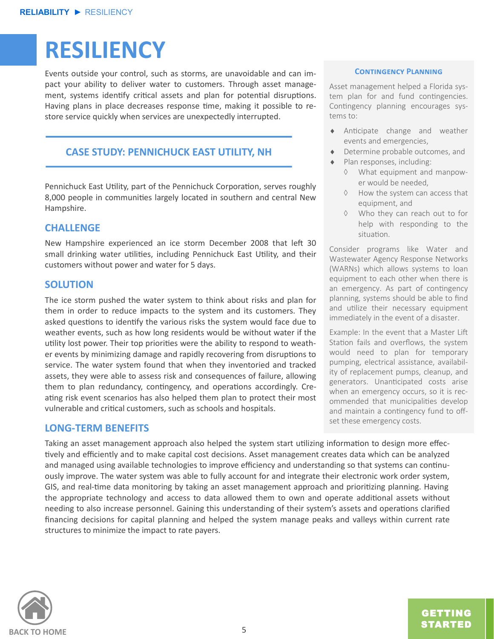### <span id="page-4-0"></span>**RESILIENCY**

Events outside your control, such as storms, are unavoidable and can impact your ability to deliver water to customers. Through asset management, systems identify critical assets and plan for potential disruptions. Having plans in place decreases response time, making it possible to restore service quickly when services are unexpectedly interrupted.

#### **CASE STUDY: PENNICHUCK EAST UTILITY, NH**

Pennichuck East Utility, part of the Pennichuck Corporation, serves roughly 8,000 people in communities largely located in southern and central New Hampshire.

#### **CHALLENGE**

New Hampshire experienced an ice storm December 2008 that left 30 small drinking water utilities, including Pennichuck East Utility, and their customers without power and water for 5 days.

#### **SOLUTION**

The ice storm pushed the water system to think about risks and plan for them in order to reduce impacts to the system and its customers. They asked questions to identify the various risks the system would face due to weather events, such as how long residents would be without water if the utility lost power. Their top priorities were the ability to respond to weather events by minimizing damage and rapidly recovering from disruptions to service. The water system found that when they inventoried and tracked assets, they were able to assess risk and consequences of failure, allowing them to plan redundancy, contingency, and operations accordingly. Creating risk event scenarios has also helped them plan to protect their most vulnerable and critical customers, such as schools and hospitals.

#### **LONG-TERM BENEFITS**

Taking an asset management approach also helped the system start utilizing information to design more effectively and efficiently and to make capital cost decisions. Asset management creates data which can be analyzed and managed using available technologies to improve efficiency and understanding so that systems can continuously improve. The water system was able to fully account for and integrate their electronic work order system, GIS, and real-time data monitoring by taking an asset management approach and prioritizing planning. Having the appropriate technology and access to data allowed them to own and operate additional assets without needing to also increase personnel. Gaining this understanding of their system's assets and operations clarified financing decisions for capital planning and helped the system manage peaks and valleys within current rate structures to minimize the impact to rate payers.



#### **Contingency Planning**

Asset management helped a Florida system plan for and fund contingencies. Contingency planning encourages systems to:

- Anticipate change and weather events and emergencies,
- Determine probable outcomes, and
- ◆ Plan responses, including:
	- What equipment and manpower would be needed,
	- $\Diamond$  How the system can access that equipment, and
	- Who they can reach out to for help with responding to the situation.

Consider programs like Water and Wastewater Agency Response Networks (WARNs) which allows systems to loan equipment to each other when there is an emergency. As part of contingency planning, systems should be able to find and utilize their necessary equipment immediately in the event of a disaster.

Example: In the event that a Master Lift Station fails and overflows, the system would need to plan for temporary pumping, electrical assistance, availability of replacement pumps, cleanup, and generators. Unanticipated costs arise when an emergency occurs, so it is recommended that municipalities develop and maintain a contingency fund to offset these emergency costs.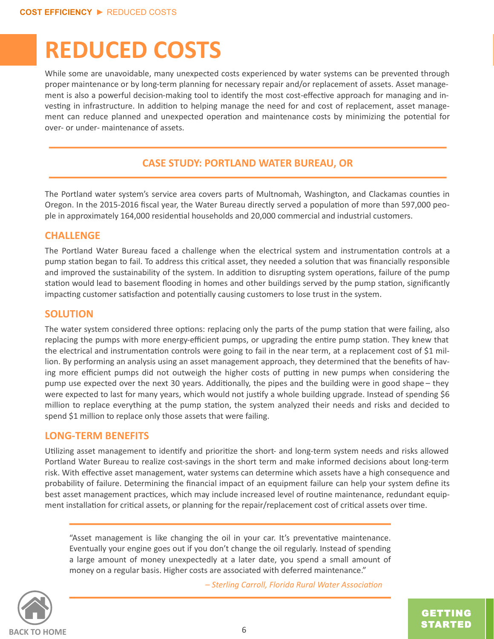### <span id="page-5-0"></span>**REDUCED COSTS**

While some are unavoidable, many unexpected costs experienced by water systems can be prevented through proper maintenance or by long-term planning for necessary repair and/or replacement of assets. Asset management is also a powerful decision-making tool to identify the most cost-effective approach for managing and investing in infrastructure. In addition to helping manage the need for and cost of replacement, asset management can reduce planned and unexpected operation and maintenance costs by minimizing the potential for over- or under- maintenance of assets.

#### **CASE STUDY: PORTLAND WATER BUREAU, OR**

The Portland water system's service area covers parts of Multnomah, Washington, and Clackamas counties in Oregon. In the 2015-2016 fiscal year, the Water Bureau directly served a population of more than 597,000 people in approximately 164,000 residential households and 20,000 commercial and industrial customers.

#### **CHALLENGE**

The Portland Water Bureau faced a challenge when the electrical system and instrumentation controls at a pump station began to fail. To address this critical asset, they needed a solution that was financially responsible and improved the sustainability of the system. In addition to disrupting system operations, failure of the pump station would lead to basement flooding in homes and other buildings served by the pump station, significantly impacting customer satisfaction and potentially causing customers to lose trust in the system.

#### **SOLUTION**

The water system considered three options: replacing only the parts of the pump station that were failing, also replacing the pumps with more energy-efficient pumps, or upgrading the entire pump station. They knew that the electrical and instrumentation controls were going to fail in the near term, at a replacement cost of \$1 million. By performing an analysis using an asset management approach, they determined that the benefits of having more efficient pumps did not outweigh the higher costs of putting in new pumps when considering the pump use expected over the next 30 years. Additionally, the pipes and the building were in good shape – they were expected to last for many years, which would not justify a whole building upgrade. Instead of spending \$6 million to replace everything at the pump station, the system analyzed their needs and risks and decided to spend \$1 million to replace only those assets that were failing.

#### **LONG-TERM BENEFITS**

Utilizing asset management to identify and prioritize the short- and long-term system needs and risks allowed Portland Water Bureau to realize cost-savings in the short term and make informed decisions about long-term risk. With effective asset management, water systems can determine which assets have a high consequence and probability of failure. Determining the financial impact of an equipment failure can help your system define its best asset management practices, which may include increased level of routine maintenance, redundant equipment installation for critical assets, or planning for the repair/replacement cost of critical assets over time.

"Asset management is like changing the oil in your car. It's preventative maintenance. Eventually your engine goes out if you don't change the oil regularly. Instead of spending a large amount of money unexpectedly at a later date, you spend a small amount of money on a regular basis. Higher costs are associated with deferred maintenance."



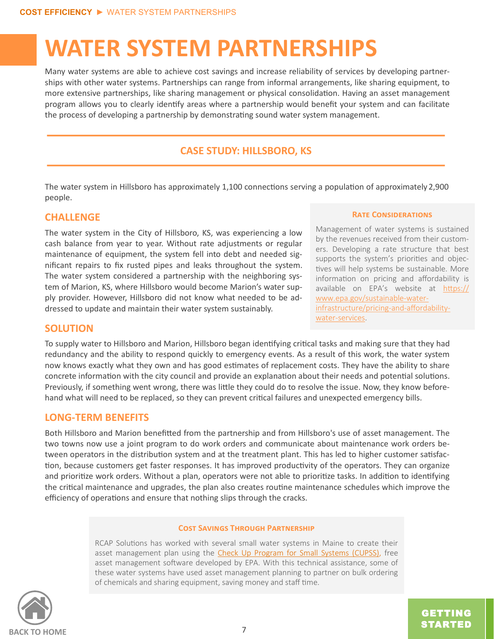### <span id="page-6-0"></span>**WATER SYSTEM PARTNERSHIPS**

Many water systems are able to achieve cost savings and increase reliability of services by developing partnerships with other water systems. Partnerships can range from informal arrangements, like sharing equipment, to more extensive partnerships, like sharing management or physical consolidation. Having an asset management program allows you to clearly identify areas where a partnership would benefit your system and can facilitate the process of developing a partnership by demonstrating sound water system management.

#### **CASE STUDY: HILLSBORO, KS**

The water system in Hillsboro has approximately 1,100 connections serving a population of approximately 2,900 people.

#### **CHALLENGE**

The water system in the City of Hillsboro, KS, was experiencing a low cash balance from year to year. Without rate adjustments or regular maintenance of equipment, the system fell into debt and needed significant repairs to fix rusted pipes and leaks throughout the system. The water system considered a partnership with the neighboring system of Marion, KS, where Hillsboro would become Marion's water supply provider. However, Hillsboro did not know what needed to be addressed to update and maintain their water system sustainably.

**Rate Considerations** 

Management of water systems is sustained by the revenues received from their customers. Developing a rate structure that best supports the system's priorities and objectives will help systems be sustainable. More information on pricing and affordability is available on EPA's website at [https://](https://www.epa.gov/sustainable-water-infrastructure/pricing-and-affordability-water-services) [www.epa.gov/sustainable](https://www.epa.gov/sustainable-water-infrastructure/pricing-and-affordability-water-services)-water[infrastructure/pricing](https://www.epa.gov/sustainable-water-infrastructure/pricing-and-affordability-water-services)-and-affordabilitywater-[services.](https://www.epa.gov/sustainable-water-infrastructure/pricing-and-affordability-water-services)

#### **SOLUTION**

To supply water to Hillsboro and Marion, Hillsboro began identifying critical tasks and making sure that they had redundancy and the ability to respond quickly to emergency events. As a result of this work, the water system now knows exactly what they own and has good estimates of replacement costs. They have the ability to share concrete information with the city council and provide an explanation about their needs and potential solutions. Previously, if something went wrong, there was little they could do to resolve the issue. Now, they know beforehand what will need to be replaced, so they can prevent critical failures and unexpected emergency bills.

#### **LONG-TERM BENEFITS**

Both Hillsboro and Marion benefitted from the partnership and from Hillsboro's use of asset management. The two towns now use a joint program to do work orders and communicate about maintenance work orders between operators in the distribution system and at the treatment plant. This has led to higher customer satisfaction, because customers get faster responses. It has improved productivity of the operators. They can organize and prioritize work orders. Without a plan, operators were not able to prioritize tasks. In addition to identifying the critical maintenance and upgrades, the plan also creates routine maintenance schedules which improve the efficiency of operations and ensure that nothing slips through the cracks.

#### **Cost Savings Through Partnership**

RCAP Solutions has worked with several small water systems in Maine to create their asset management plan using the [Check Up Program for Small Systems \(CUPSS\),](https://www.epa.gov/dwcapacity/information-check-program-small-systems-cupss-asset-management-tool) free asset management software developed by EPA. With this technical assistance, some of these water systems have used asset management planning to partner on bulk ordering of chemicals and sharing equipment, saving money and staff time.

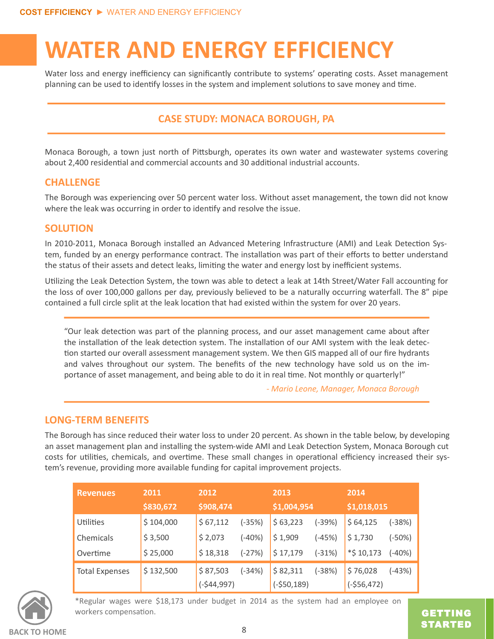### <span id="page-7-0"></span>**WATER AND ENERGY EFFICIENCY**

Water loss and energy inefficiency can significantly contribute to systems' operating costs. Asset management planning can be used to identify losses in the system and implement solutions to save money and time.

#### **CASE STUDY: MONACA BOROUGH, PA**

Monaca Borough, a town just north of Pittsburgh, operates its own water and wastewater systems covering about 2,400 residential and commercial accounts and 30 additional industrial accounts.

#### **CHALLENGE**

The Borough was experiencing over 50 percent water loss. Without asset management, the town did not know where the leak was occurring in order to identify and resolve the issue.

#### **SOLUTION**

In 2010-2011, Monaca Borough installed an Advanced Metering Infrastructure (AMI) and Leak Detection System, funded by an energy performance contract. The installation was part of their efforts to better understand the status of their assets and detect leaks, limiting the water and energy lost by inefficient systems.

Utilizing the Leak Detection System, the town was able to detect a leak at 14th Street/Water Fall accounting for the loss of over 100,000 gallons per day, previously believed to be a naturally occurring waterfall. The 8" pipe contained a full circle split at the leak location that had existed within the system for over 20 years.

"Our leak detection was part of the planning process, and our asset management came about after the installation of the leak detection system. The installation of our AMI system with the leak detection started our overall assessment management system. We then GIS mapped all of our fire hydrants and valves throughout our system. The benefits of the new technology have sold us on the importance of asset management, and being able to do it in real time. Not monthly or quarterly!"

*- Mario Leone, Manager, Monaca Borough*

#### **LONG-TERM BENEFITS**

The Borough has since reduced their water loss to under 20 percent. As shown in the table below, by developing an asset management plan and installing the system-wide AMI and Leak Detection System, Monaca Borough cut costs for utilities, chemicals, and overtime. These small changes in operational efficiency increased their system's revenue, providing more available funding for capital improvement projects.

| <b>Revenues</b>       | 2011      | 2012         |          | 2013         |          | 2014          |          |
|-----------------------|-----------|--------------|----------|--------------|----------|---------------|----------|
|                       | \$830,672 | \$908,474    |          | \$1,004,954  |          | \$1,018,015   |          |
| Utilities             | \$104,000 | \$67,112     | $(-35%)$ | \$63,223     | (-39%)   | \$64,125      | $(-38%)$ |
| Chemicals             | \$3,500   | \$2,073      | $(-40%)$ | \$1,909      | $(-45%)$ | \$1,730       | $(-50%)$ |
| Overtime              | \$25,000  | \$18,318     | $(-27%)$ | \$17,179     | $(-31%)$ | $*$ \$ 10,173 | $(-40%)$ |
| <b>Total Expenses</b> | \$132,500 | \$87,503     | $(-34%)$ | \$82,311     | $(-38%)$ | \$76,028      | $(-43%)$ |
|                       |           | $(-$44,997)$ |          | $(-$50,189)$ |          | $(-$56,472)$  |          |



\*Regular wages were \$18,173 under budget in 2014 as the system had an employee on workers compensation.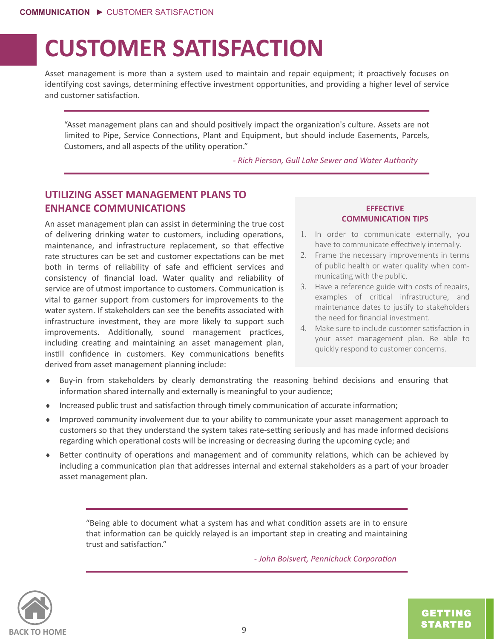### <span id="page-8-0"></span>**CUSTOMER SATISFACTION**

Asset management is more than a system used to maintain and repair equipment; it proactively focuses on identifying cost savings, determining effective investment opportunities, and providing a higher level of service and customer satisfaction.

"Asset management plans can and should positively impact the organization's culture. Assets are not limited to Pipe, Service Connections, Plant and Equipment, but should include Easements, Parcels, Customers, and all aspects of the utility operation."

*- Rich Pierson, Gull Lake Sewer and Water Authority*

#### **UTILIZING ASSET MANAGEMENT PLANS TO ENHANCE COMMUNICATIONS**

An asset management plan can assist in determining the true cost of delivering drinking water to customers, including operations, maintenance, and infrastructure replacement, so that effective rate structures can be set and customer expectations can be met both in terms of reliability of safe and efficient services and consistency of financial load. Water quality and reliability of service are of utmost importance to customers. Communication is vital to garner support from customers for improvements to the water system. If stakeholders can see the benefits associated with infrastructure investment, they are more likely to support such improvements. Additionally, sound management practices, including creating and maintaining an asset management plan, instill confidence in customers. Key communications benefits derived from asset management planning include:

#### **EFFECTIVE COMMUNICATION TIPS**

- 1. In order to communicate externally, you have to communicate effectively internally.
- 2. Frame the necessary improvements in terms of public health or water quality when communicating with the public.
- 3. Have a reference guide with costs of repairs, examples of critical infrastructure, and maintenance dates to justify to stakeholders the need for financial investment.
- Make sure to include customer satisfaction in your asset management plan. Be able to quickly respond to customer concerns.
- Buy-in from stakeholders by clearly demonstrating the reasoning behind decisions and ensuring that information shared internally and externally is meaningful to your audience;
- Increased public trust and satisfaction through timely communication of accurate information;
- Improved community involvement due to your ability to communicate your asset management approach to customers so that they understand the system takes rate-setting seriously and has made informed decisions regarding which operational costs will be increasing or decreasing during the upcoming cycle; and
- Better continuity of operations and management and of community relations, which can be achieved by including a communication plan that addresses internal and external stakeholders as a part of your broader asset management plan.

"Being able to document what a system has and what condition assets are in to ensure that information can be quickly relayed is an important step in creating and maintaining trust and satisfaction."

*- John Boisvert, Pennichuck Corporation*

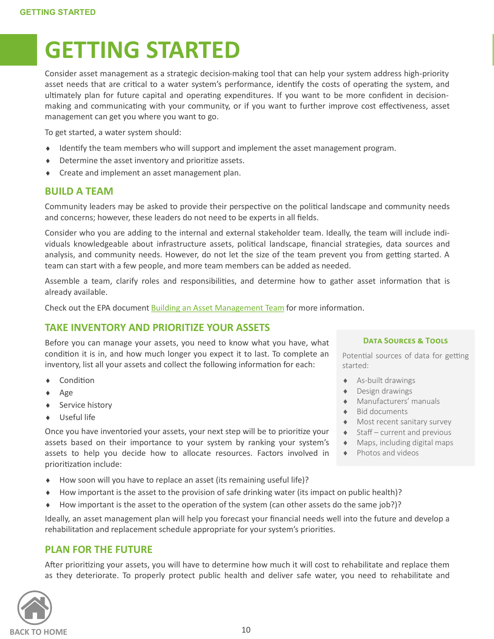### <span id="page-9-0"></span>**GETTING STARTED**

Consider asset management as a strategic decision-making tool that can help your system address high-priority asset needs that are critical to a water system's performance, identify the costs of operating the system, and ultimately plan for future capital and operating expenditures. If you want to be more confident in decisionmaking and communicating with your community, or if you want to further improve cost effectiveness, asset management can get you where you want to go.

To get started, a water system should:

- $\bullet$  Identify the team members who will support and implement the asset management program.
- Determine the asset inventory and prioritize assets.
- Create and implement an asset management plan.

#### **BUILD A TEAM**

Community leaders may be asked to provide their perspective on the political landscape and community needs and concerns; however, these leaders do not need to be experts in all fields.

Consider who you are adding to the internal and external stakeholder team. Ideally, the team will include individuals knowledgeable about infrastructure assets, political landscape, financial strategies, data sources and analysis, and community needs. However, do not let the size of the team prevent you from getting started. A team can start with a few people, and more team members can be added as needed.

Assemble a team, clarify roles and responsibilities, and determine how to gather asset information that is already available.

Check out the EPA document [Building an Asset Management Team](https://nepis.epa.gov/Exe/ZyPDF.cgi/P1000LTZ.PDF?Dockey=P1000LTZ.PDF) for more information.

#### **TAKE INVENTORY AND PRIORITIZE YOUR ASSETS**

Before you can manage your assets, you need to know what you have, what condition it is in, and how much longer you expect it to last. To complete an inventory, list all your assets and collect the following information for each:

- Condition
- $\leftrightarrow$  Age
- ◆ Service history
- Useful life

Once you have inventoried your assets, your next step will be to prioritize your assets based on their importance to your system by ranking your system's assets to help you decide how to allocate resources. Factors involved in prioritization include:

- How soon will you have to replace an asset (its remaining useful life)?
- How important is the asset to the provision of safe drinking water (its impact on public health)?
- ◆ How important is the asset to the operation of the system (can other assets do the same job?)?

Ideally, an asset management plan will help you forecast your financial needs well into the future and develop a rehabilitation and replacement schedule appropriate for your system's priorities.

#### **PLAN FOR THE FUTURE**

After prioritizing your assets, you will have to determine how much it will cost to rehabilitate and replace them as they deteriorate. To properly protect public health and deliver safe water, you need to rehabilitate and



#### **Data Sources & Tools**

Potential sources of data for getting started:

- As-built drawings
- Design drawings
- Manufacturers' manuals
- Bid documents
- Most recent sanitary survey
- $\triangleleft$  Staff current and previous
- Maps, including digital maps
- ◆ Photos and videos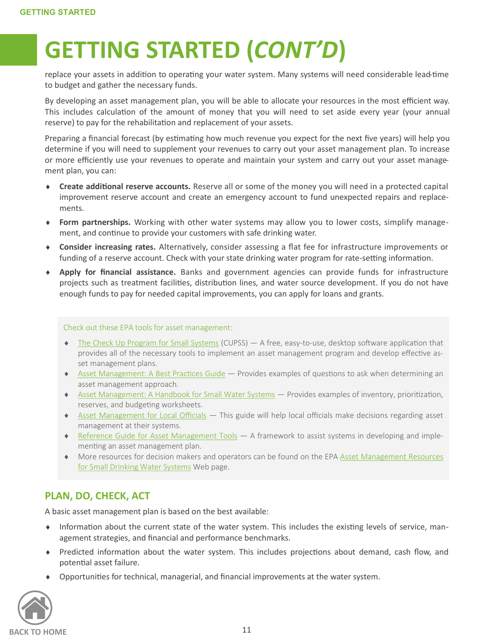# **GETTING STARTED (***CONT'D***)**

replace your assets in addition to operating your water system. Many systems will need considerable lead-time to budget and gather the necessary funds.

By developing an asset management plan, you will be able to allocate your resources in the most efficient way. This includes calculation of the amount of money that you will need to set aside every year (your annual reserve) to pay for the rehabilitation and replacement of your assets.

Preparing a financial forecast (by estimating how much revenue you expect for the next five years) will help you determine if you will need to supplement your revenues to carry out your asset management plan. To increase or more efficiently use your revenues to operate and maintain your system and carry out your asset management plan, you can:

- **Create additional reserve accounts.** Reserve all or some of the money you will need in a protected capital improvement reserve account and create an emergency account to fund unexpected repairs and replacements.
- **Form partnerships.** Working with other water systems may allow you to lower costs, simplify management, and continue to provide your customers with safe drinking water.
- **Consider increasing rates.** Alternatively, consider assessing a flat fee for infrastructure improvements or funding of a reserve account. Check with your state drinking water program for rate-setting information.
- **Apply for financial assistance.** Banks and government agencies can provide funds for infrastructure projects such as treatment facilities, distribution lines, and water source development. If you do not have enough funds to pay for needed capital improvements, you can apply for loans and grants.

#### Check out these EPA tools for asset management:

- $\bullet$  [The Check Up Program for Small Systems](https://www.epa.gov/dwcapacity/information-check-program-small-systems-cupss-asset-management-tool) (CUPSS)  $-$  A free, easy-to-use, desktop software application that provides all of the necessary tools to implement an asset management program and develop effective asset management plans.
- ◆ [Asset Management: A Best Practices Guide](https://nepis.epa.gov/Exe/ZyPDF.cgi/P1000LP0.PDF?Dockey=P1000LP0.PDF) Provides examples of questions to ask when determining an asset management approach.
- ◆ [Asset Management: A Handbook for Small Water Systems](https://nepis.epa.gov/Exe/ZyPDF.cgi/2000261D.PDF?Dockey=2000261D.PDF) Provides examples of inventory, prioritization, reserves, and budgeting worksheets.
- ◆ [Asset Management for Local Officials](https://www.epa.gov/sites/production/files/2015-02/documents/guide_smallsystems_assetmanagement_localofficials.pdf) This guide will help local officials make decisions regarding asset management at their systems.
- [Reference Guide for Asset Management Tools](https://www.epa.gov/dwcapacity/reference-guide-asset-management-tools) A framework to assist systems in developing and implementing an asset management plan.
- More resources for decision makers and operators can be found on the EPA **Asset Management Resources** [for Small Drinking Water Systems](https://www.epa.gov/dwcapacity/asset-management-resources-small-drinking-water-systems-0) Web page.

#### **PLAN, DO, CHECK, ACT**

A basic asset management plan is based on the best available:

- Information about the current state of the water system. This includes the existing levels of service, management strategies, and financial and performance benchmarks.
- Predicted information about the water system. This includes projections about demand, cash flow, and potential asset failure.
- $\blacklozenge$ Opportunities for technical, managerial, and financial improvements at the water system.